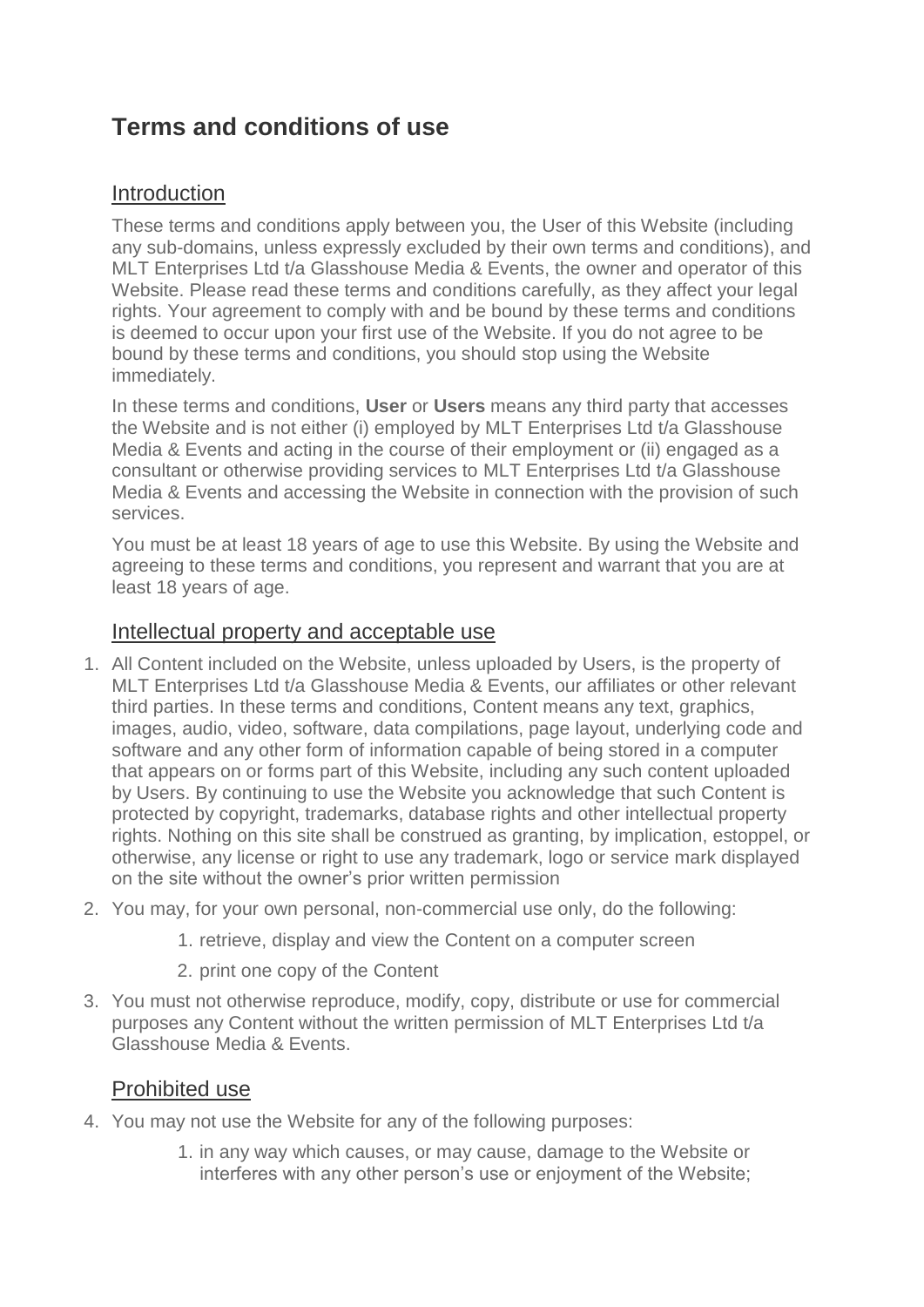# **Terms and conditions of use**

#### Introduction

These terms and conditions apply between you, the User of this Website (including any sub-domains, unless expressly excluded by their own terms and conditions), and MLT Enterprises Ltd t/a Glasshouse Media & Events, the owner and operator of this Website. Please read these terms and conditions carefully, as they affect your legal rights. Your agreement to comply with and be bound by these terms and conditions is deemed to occur upon your first use of the Website. If you do not agree to be bound by these terms and conditions, you should stop using the Website immediately.

In these terms and conditions, **User** or **Users** means any third party that accesses the Website and is not either (i) employed by MLT Enterprises Ltd t/a Glasshouse Media & Events and acting in the course of their employment or (ii) engaged as a consultant or otherwise providing services to MLT Enterprises Ltd t/a Glasshouse Media & Events and accessing the Website in connection with the provision of such services.

You must be at least 18 years of age to use this Website. By using the Website and agreeing to these terms and conditions, you represent and warrant that you are at least 18 years of age.

#### Intellectual property and acceptable use

- 1. All Content included on the Website, unless uploaded by Users, is the property of MLT Enterprises Ltd t/a Glasshouse Media & Events, our affiliates or other relevant third parties. In these terms and conditions, Content means any text, graphics, images, audio, video, software, data compilations, page layout, underlying code and software and any other form of information capable of being stored in a computer that appears on or forms part of this Website, including any such content uploaded by Users. By continuing to use the Website you acknowledge that such Content is protected by copyright, trademarks, database rights and other intellectual property rights. Nothing on this site shall be construed as granting, by implication, estoppel, or otherwise, any license or right to use any trademark, logo or service mark displayed on the site without the owner's prior written permission
- 2. You may, for your own personal, non-commercial use only, do the following:
	- 1. retrieve, display and view the Content on a computer screen
	- 2. print one copy of the Content
- 3. You must not otherwise reproduce, modify, copy, distribute or use for commercial purposes any Content without the written permission of MLT Enterprises Ltd t/a Glasshouse Media & Events.

#### Prohibited use

- 4. You may not use the Website for any of the following purposes:
	- 1. in any way which causes, or may cause, damage to the Website or interferes with any other person's use or enjoyment of the Website;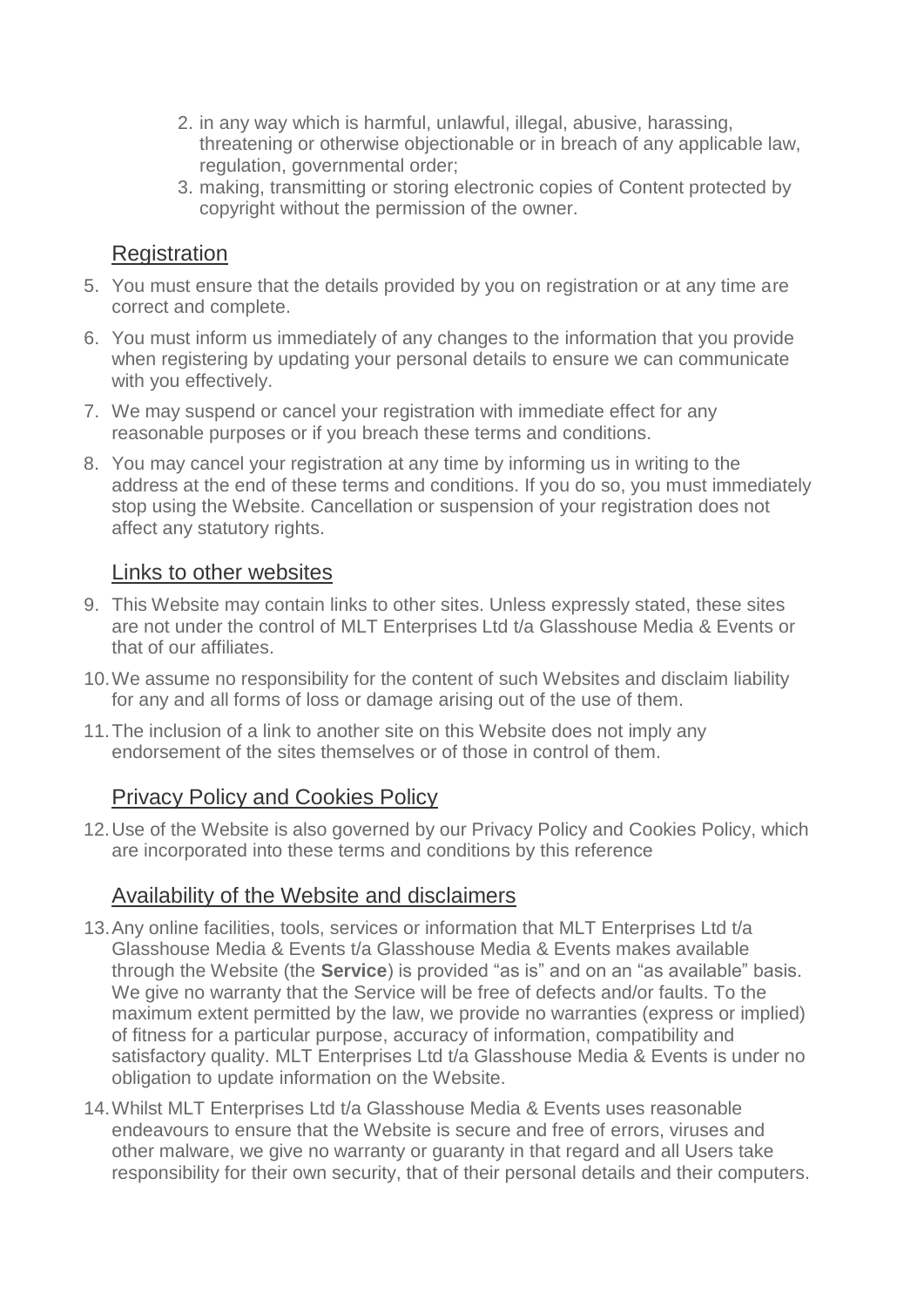- 2. in any way which is harmful, unlawful, illegal, abusive, harassing, threatening or otherwise objectionable or in breach of any applicable law, regulation, governmental order;
- 3. making, transmitting or storing electronic copies of Content protected by copyright without the permission of the owner.

#### **Registration**

- 5. You must ensure that the details provided by you on registration or at any time are correct and complete.
- 6. You must inform us immediately of any changes to the information that you provide when registering by updating your personal details to ensure we can communicate with you effectively.
- 7. We may suspend or cancel your registration with immediate effect for any reasonable purposes or if you breach these terms and conditions.
- 8. You may cancel your registration at any time by informing us in writing to the address at the end of these terms and conditions. If you do so, you must immediately stop using the Website. Cancellation or suspension of your registration does not affect any statutory rights.

#### Links to other websites

- 9. This Website may contain links to other sites. Unless expressly stated, these sites are not under the control of MLT Enterprises Ltd t/a Glasshouse Media & Events or that of our affiliates.
- 10.We assume no responsibility for the content of such Websites and disclaim liability for any and all forms of loss or damage arising out of the use of them.
- 11.The inclusion of a link to another site on this Website does not imply any endorsement of the sites themselves or of those in control of them.

## **Privacy Policy and Cookies Policy**

12.Use of the Website is also governed by our Privacy Policy and Cookies Policy, which are incorporated into these terms and conditions by this reference

#### Availability of the Website and disclaimers

- 13.Any online facilities, tools, services or information that MLT Enterprises Ltd t/a Glasshouse Media & Events t/a Glasshouse Media & Events makes available through the Website (the **Service**) is provided "as is" and on an "as available" basis. We give no warranty that the Service will be free of defects and/or faults. To the maximum extent permitted by the law, we provide no warranties (express or implied) of fitness for a particular purpose, accuracy of information, compatibility and satisfactory quality. MLT Enterprises Ltd t/a Glasshouse Media & Events is under no obligation to update information on the Website.
- 14.Whilst MLT Enterprises Ltd t/a Glasshouse Media & Events uses reasonable endeavours to ensure that the Website is secure and free of errors, viruses and other malware, we give no warranty or guaranty in that regard and all Users take responsibility for their own security, that of their personal details and their computers.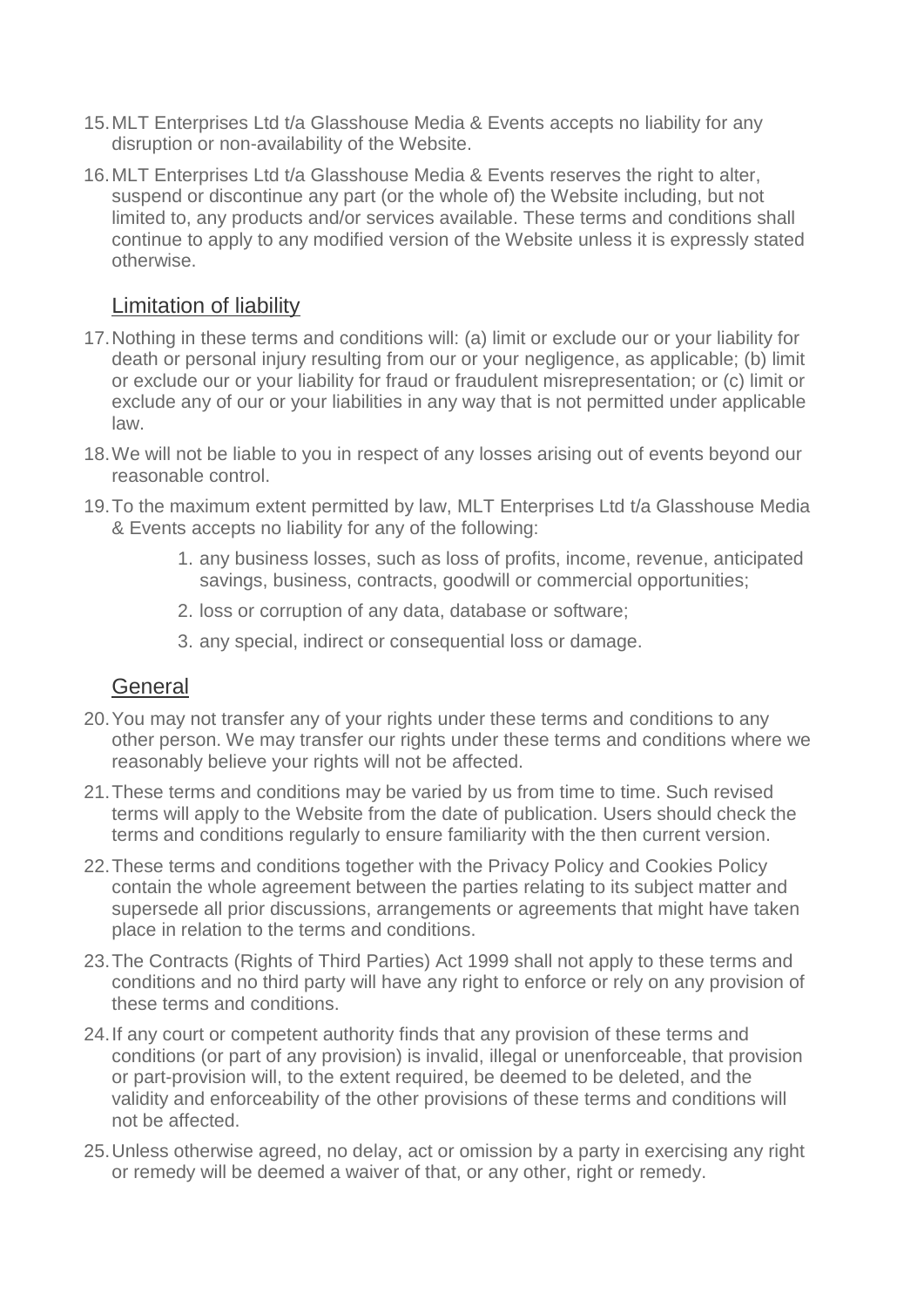- 15.MLT Enterprises Ltd t/a Glasshouse Media & Events accepts no liability for any disruption or non-availability of the Website.
- 16.MLT Enterprises Ltd t/a Glasshouse Media & Events reserves the right to alter, suspend or discontinue any part (or the whole of) the Website including, but not limited to, any products and/or services available. These terms and conditions shall continue to apply to any modified version of the Website unless it is expressly stated otherwise.

## Limitation of liability

- 17.Nothing in these terms and conditions will: (a) limit or exclude our or your liability for death or personal injury resulting from our or your negligence, as applicable; (b) limit or exclude our or your liability for fraud or fraudulent misrepresentation; or (c) limit or exclude any of our or your liabilities in any way that is not permitted under applicable law.
- 18.We will not be liable to you in respect of any losses arising out of events beyond our reasonable control.
- 19.To the maximum extent permitted by law, MLT Enterprises Ltd t/a Glasshouse Media & Events accepts no liability for any of the following:
	- 1. any business losses, such as loss of profits, income, revenue, anticipated savings, business, contracts, goodwill or commercial opportunities;
	- 2. loss or corruption of any data, database or software;
	- 3. any special, indirect or consequential loss or damage.

#### **General**

- 20.You may not transfer any of your rights under these terms and conditions to any other person. We may transfer our rights under these terms and conditions where we reasonably believe your rights will not be affected.
- 21.These terms and conditions may be varied by us from time to time. Such revised terms will apply to the Website from the date of publication. Users should check the terms and conditions regularly to ensure familiarity with the then current version.
- 22.These terms and conditions together with the Privacy Policy and Cookies Policy contain the whole agreement between the parties relating to its subject matter and supersede all prior discussions, arrangements or agreements that might have taken place in relation to the terms and conditions.
- 23.The Contracts (Rights of Third Parties) Act 1999 shall not apply to these terms and conditions and no third party will have any right to enforce or rely on any provision of these terms and conditions.
- 24.If any court or competent authority finds that any provision of these terms and conditions (or part of any provision) is invalid, illegal or unenforceable, that provision or part-provision will, to the extent required, be deemed to be deleted, and the validity and enforceability of the other provisions of these terms and conditions will not be affected.
- 25.Unless otherwise agreed, no delay, act or omission by a party in exercising any right or remedy will be deemed a waiver of that, or any other, right or remedy.